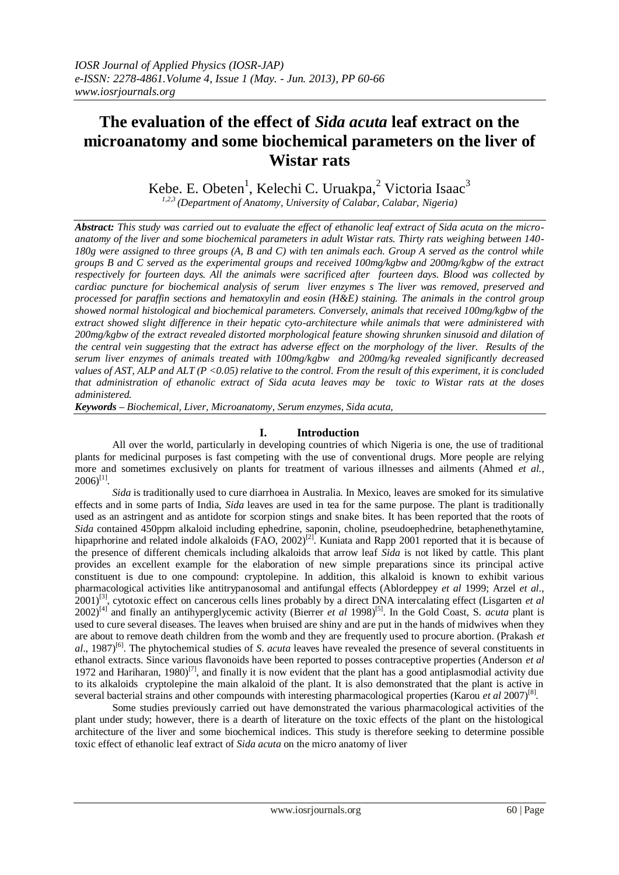# **The evaluation of the effect of** *Sida acuta* **leaf extract on the microanatomy and some biochemical parameters on the liver of Wistar rats**

Kebe. E. Obeten<sup>1</sup>, Kelechi C. Uruakpa,<sup>2</sup> Victoria Isaac<sup>3</sup>

*1,2,3 (Department of Anatomy, University of Calabar, Calabar, Nigeria)*

*Abstract: This study was carried out to evaluate the effect of ethanolic leaf extract of Sida acuta on the microanatomy of the liver and some biochemical parameters in adult Wistar rats. Thirty rats weighing between 140- 180g were assigned to three groups (A, B and C) with ten animals each. Group A served as the control while groups B and C served as the experimental groups and received 100mg/kgbw and 200mg/kgbw of the extract respectively for fourteen days. All the animals were sacrificed after fourteen days. Blood was collected by cardiac puncture for biochemical analysis of serum liver enzymes s The liver was removed, preserved and processed for paraffin sections and hematoxylin and eosin (H&E) staining. The animals in the control group showed normal histological and biochemical parameters. Conversely, animals that received 100mg/kgbw of the extract showed slight difference in their hepatic cyto-architecture while animals that were administered with 200mg/kgbw of the extract revealed distorted morphological feature showing shrunken sinusoid and dilation of the central vein suggesting that the extract has adverse effect on the morphology of the liver. Results of the serum liver enzymes of animals treated with 100mg/kgbw and 200mg/kg revealed significantly decreased values of AST, ALP and ALT (P <0.05) relative to the control. From the result of this experiment, it is concluded that administration of ethanolic extract of Sida acuta leaves may be toxic to Wistar rats at the doses administered.*

*Keywords – Biochemical, Liver, Microanatomy, Serum enzymes, Sida acuta,*

# **I. Introduction**

All over the world, particularly in developing countries of which Nigeria is one, the use of traditional plants for medicinal purposes is fast competing with the use of conventional drugs. More people are relying more and sometimes exclusively on plants for treatment of various illnesses and ailments (Ahmed *et al.,*  $2006$ <sup>[1]</sup>.

*Sida* is traditionally used to cure diarrhoea in Australia. In Mexico, leaves are smoked for its simulative effects and in some parts of India, *Sida* leaves are used in tea for the same purpose. The plant is traditionally used as an astringent and as antidote for scorpion stings and snake bites. It has been reported that the roots of *Sida* contained 450ppm alkaloid including ephedrine, saponin, choline, pseudoephedrine, betaphenethytamine, hipaprhorine and related indole alkaloids (FAO, 2002)<sup>[2]</sup>. Kuniata and Rapp 2001 reported that it is because of the presence of different chemicals including alkaloids that arrow leaf *Sida* is not liked by cattle. This plant provides an excellent example for the elaboration of new simple preparations since its principal active constituent is due to one compound: cryptolepine. In addition, this alkaloid is known to exhibit various pharmacological activities like antitrypanosomal and antifungal effects (Ablordeppey *et al* 1999; Arzel *et al*., 2001)[3], cytotoxic effect on cancerous cells lines probably by a direct DNA intercalating effect (Lisgarten *et al*  $2002)^{[4]}$  and finally an antihyperglycemic activity (Bierrer *et al* 1998)<sup>[5]</sup>. In the Gold Coast, S. *acuta* plant is used to cure several diseases. The leaves when bruised are shiny and are put in the hands of midwives when they are about to remove death children from the womb and they are frequently used to procure abortion. (Prakash *et al*., 1987)[6]. The phytochemical studies of *S*. *acuta* leaves have revealed the presence of several constituents in ethanol extracts. Since various flavonoids have been reported to posses contraceptive properties (Anderson *et al* 1972 and Hariharan, 1980)<sup>[7]</sup>, and finally it is now evident that the plant has a good antiplasmodial activity due to its alkaloids cryptolepine the main alkaloid of the plant. It is also demonstrated that the plant is active in several bacterial strains and other compounds with interesting pharmacological properties (Karou et al 2007)<sup>[8]</sup>.

Some studies previously carried out have demonstrated the various pharmacological activities of the plant under study; however, there is a dearth of literature on the toxic effects of the plant on the histological architecture of the liver and some biochemical indices. This study is therefore seeking to determine possible toxic effect of ethanolic leaf extract of *Sida acuta* on the micro anatomy of liver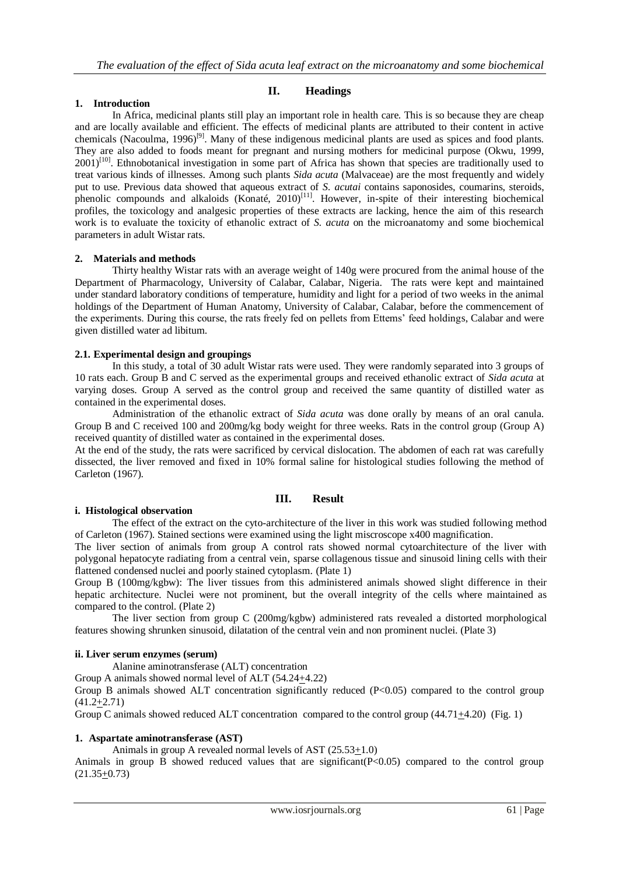## **1. Introduction**

## **II. Headings**

In Africa, medicinal plants still play an important role in health care. This is so because they are cheap and are locally available and efficient. The effects of medicinal plants are attributed to their content in active chemicals (Nacoulma, 1996)<sup>[9]</sup>. Many of these indigenous medicinal plants are used as spices and food plants. They are also added to foods meant for pregnant and nursing mothers for medicinal purpose (Okwu, 1999,  $2001$ <sup>[10]</sup>. Ethnobotanical investigation in some part of Africa has shown that species are traditionally used to treat various kinds of illnesses. Among such plants *Sida acuta* (Malvaceae) are the most frequently and widely put to use. Previous data showed that aqueous extract of *S. acutai* contains saponosides, coumarins, steroids, phenolic compounds and alkaloids (Konaté, 2010)<sup>[11]</sup>. However, in-spite of their interesting biochemical profiles, the toxicology and analgesic properties of these extracts are lacking, hence the aim of this research work is to evaluate the toxicity of ethanolic extract of *S. acuta* on the microanatomy and some biochemical parameters in adult Wistar rats.

## **2. Materials and methods**

Thirty healthy Wistar rats with an average weight of 140g were procured from the animal house of the Department of Pharmacology, University of Calabar, Calabar, Nigeria. The rats were kept and maintained under standard laboratory conditions of temperature, humidity and light for a period of two weeks in the animal holdings of the Department of Human Anatomy, University of Calabar, Calabar, before the commencement of the experiments. During this course, the rats freely fed on pellets from Ettems' feed holdings, Calabar and were given distilled water ad libitum.

## **2.1. Experimental design and groupings**

In this study, a total of 30 adult Wistar rats were used. They were randomly separated into 3 groups of 10 rats each. Group B and C served as the experimental groups and received ethanolic extract of *Sida acuta* at varying doses. Group A served as the control group and received the same quantity of distilled water as contained in the experimental doses.

Administration of the ethanolic extract of *Sida acuta* was done orally by means of an oral canula. Group B and C received 100 and 200mg/kg body weight for three weeks. Rats in the control group (Group A) received quantity of distilled water as contained in the experimental doses.

At the end of the study, the rats were sacrificed by cervical dislocation. The abdomen of each rat was carefully dissected, the liver removed and fixed in 10% formal saline for histological studies following the method of Carleton (1967).

# **III. Result**

## **i. Histological observation**

The effect of the extract on the cyto-architecture of the liver in this work was studied following method of Carleton (1967). Stained sections were examined using the light miscroscope x400 magnification.

The liver section of animals from group A control rats showed normal cytoarchitecture of the liver with polygonal hepatocyte radiating from a central vein, sparse collagenous tissue and sinusoid lining cells with their flattened condensed nuclei and poorly stained cytoplasm. (Plate 1)

Group B (100mg/kgbw): The liver tissues from this administered animals showed slight difference in their hepatic architecture. Nuclei were not prominent, but the overall integrity of the cells where maintained as compared to the control. (Plate 2)

The liver section from group C (200mg/kgbw) administered rats revealed a distorted morphological features showing shrunken sinusoid, dilatation of the central vein and non prominent nuclei. (Plate 3)

## **ii. Liver serum enzymes (serum)**

Alanine aminotransferase (ALT) concentration

Group A animals showed normal level of ALT (54.24+4.22)

Group B animals showed ALT concentration significantly reduced (P<0.05) compared to the control group  $(41.2+2.71)$ 

Group C animals showed reduced ALT concentration compared to the control group (44.71+4.20) (Fig. 1)

## **1. Aspartate aminotransferase (AST)**

Animals in group A revealed normal levels of AST (25.53+1.0)

Animals in group B showed reduced values that are significant  $(P<0.05)$  compared to the control group (21.35+0.73)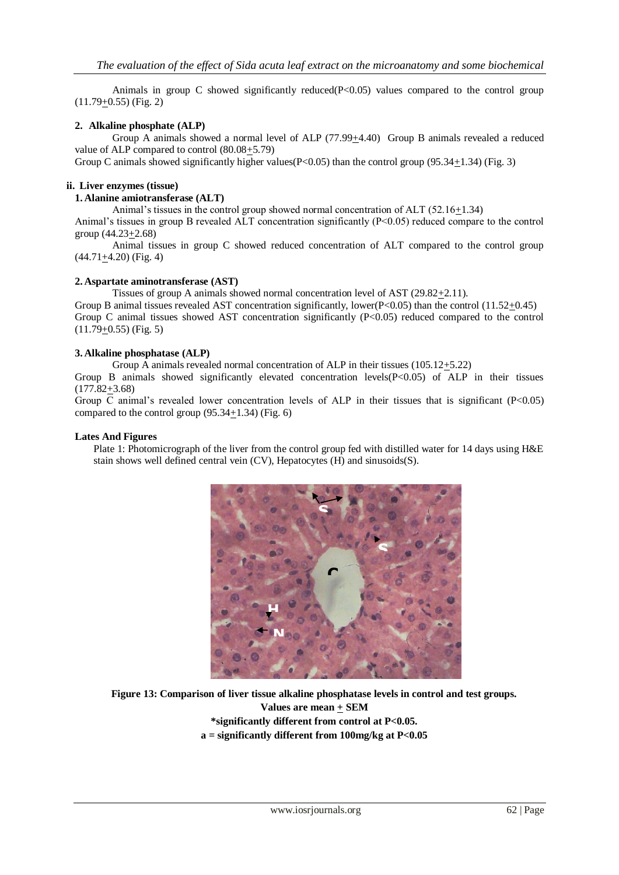Animals in group C showed significantly reduced $(P<0.05)$  values compared to the control group (11.79+0.55) (Fig. 2)

## **2. Alkaline phosphate (ALP)**

Group A animals showed a normal level of ALP (77.99+4.40) Group B animals revealed a reduced value of ALP compared to control (80.08+5.79)

Group C animals showed significantly higher values  $(P<0.05)$  than the control group (95.34+1.34) (Fig. 3)

## **ii. Liver enzymes (tissue)**

**1. Alanine amiotransferase (ALT)**

Animal's tissues in the control group showed normal concentration of ALT (52.16+1.34)

Animal's tissues in group B revealed ALT concentration significantly (P<0.05) reduced compare to the control group (44.23+2.68)

Animal tissues in group C showed reduced concentration of ALT compared to the control group  $(44.71 + 4.20)$  (Fig. 4)

## **2. Aspartate aminotransferase (AST)**

Tissues of group A animals showed normal concentration level of AST  $(29.82 \pm 2.11)$ . Group B animal tissues revealed AST concentration significantly, lower( $P < 0.05$ ) than the control (11.52+0.45) Group C animal tissues showed AST concentration significantly (P<0.05) reduced compared to the control  $(11.79+0.55)$  (Fig. 5)

#### **3. Alkaline phosphatase (ALP)**

Group A animals revealed normal concentration of ALP in their tissues (105.12+5.22)

Group B animals showed significantly elevated concentration levels(P<0.05) of ALP in their tissues (177.82+3.68)

Group C animal's revealed lower concentration levels of ALP in their tissues that is significant  $(P<0.05)$ compared to the control group  $(95.34+1.34)$  (Fig. 6)

#### **Lates And Figures**

Plate 1: Photomicrograph of the liver from the control group fed with distilled water for 14 days using H&E stain shows well defined central vein (CV), Hepatocytes (H) and sinusoids(S).



**Figure 13: Comparison of liver tissue alkaline phosphatase levels in control and test groups. Values are mean + SEM \*significantly different from control at P<0.05. a = significantly different from 100mg/kg at P<0.05**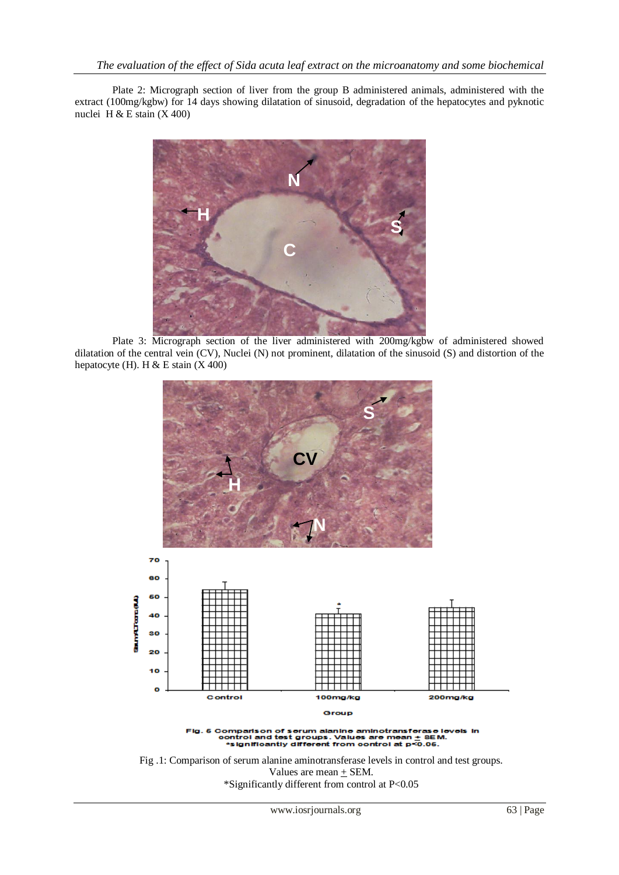Plate 2: Micrograph section of liver from the group B administered animals, administered with the extract (100mg/kgbw) for 14 days showing dilatation of sinusoid, degradation of the hepatocytes and pyknotic nuclei H & E stain  $(X 400)$ 



Plate 3: Micrograph section of the liver administered with 200mg/kgbw of administered showed dilatation of the central vein (CV), Nuclei (N) not prominent, dilatation of the sinusoid (S) and distortion of the hepatocyte (H). H & E stain  $(X 400)$ 



Fig .1: Comparison of serum alanine aminotransferase levels in control and test groups. Values are mean  $+$  SEM. \*Significantly different from control at P<0.05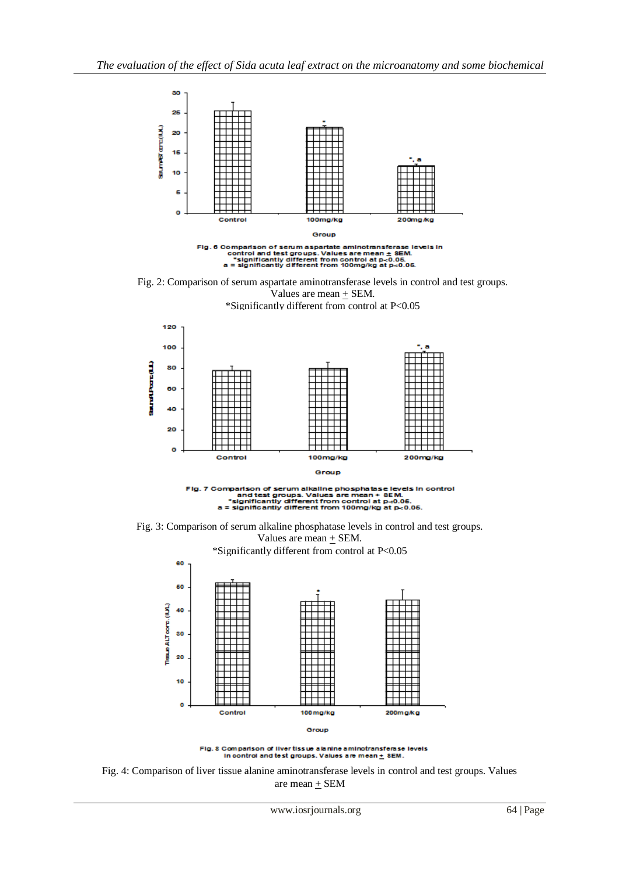

Fig. 2: Comparison of serum aspartate aminotransferase levels in control and test groups. Values are mean  $+$  SEM. \*Significantly different from control at P<0.05









Fig. 8 Comparison of liver tissue alanine aminotransferase<br>In control and test groups. Values are mean  $\pm$  8EM. levels

Fig. 4: Comparison of liver tissue alanine aminotransferase levels in control and test groups. Values are mean + SEM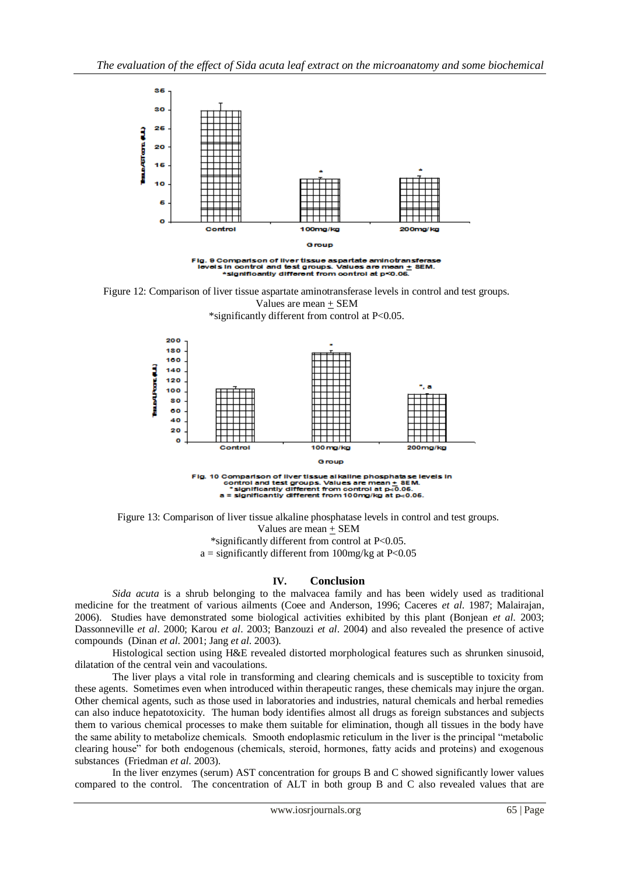



\*significantly different from control at P<0.05.



Figure 13: Comparison of liver tissue alkaline phosphatase levels in control and test groups. Values are mean + SEM

\*significantly different from control at P<0.05.

 $a =$  significantly different from 100mg/kg at P<0.05

## **IV. Conclusion**

*Sida acuta* is a shrub belonging to the malvacea family and has been widely used as traditional medicine for the treatment of various ailments (Coee and Anderson, 1996; Caceres *et al*. 1987; Malairajan, 2006). Studies have demonstrated some biological activities exhibited by this plant (Bonjean *et al*. 2003; Dassonneville *et al*. 2000; Karou *et al*. 2003; Banzouzi *et al*. 2004) and also revealed the presence of active compounds (Dinan *et al*. 2001; Jang *et al*. 2003).

Histological section using H&E revealed distorted morphological features such as shrunken sinusoid, dilatation of the central vein and vacoulations.

The liver plays a vital role in transforming and clearing chemicals and is susceptible to toxicity from these agents. Sometimes even when introduced within therapeutic ranges, these chemicals may injure the organ. Other chemical agents, such as those used in laboratories and industries, natural chemicals and herbal remedies can also induce hepatotoxicity. The human body identifies almost all drugs as foreign substances and subjects them to various chemical processes to make them suitable for elimination, though all tissues in the body have the same ability to metabolize chemicals. Smooth endoplasmic reticulum in the liver is the principal "metabolic clearing house" for both endogenous (chemicals, steroid, hormones, fatty acids and proteins) and exogenous substances (Friedman *et al*. 2003).

In the liver enzymes (serum) AST concentration for groups B and C showed significantly lower values compared to the control. The concentration of ALT in both group B and C also revealed values that are